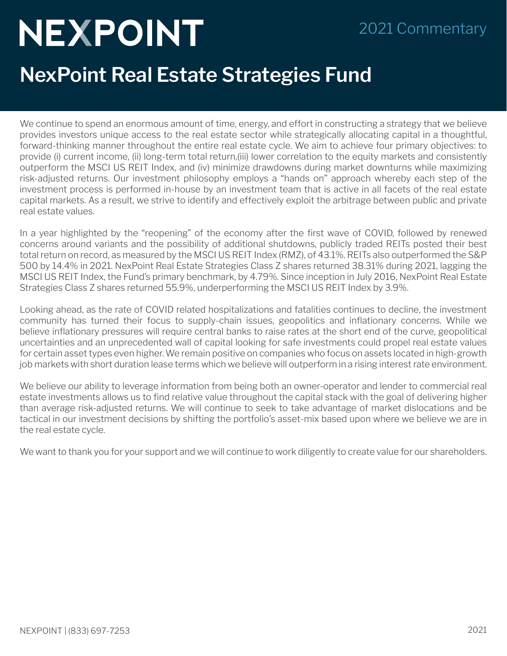## NEXPOINT

## 2021 Commentary

## **NexPoint Real Estate Strategies Fund**

We continue to spend an enormous amount of time, energy, and effort in constructing a strategy that we believe provides investors unique access to the real estate sector while strategically allocating capital in a thoughtful, forward-thinking manner throughout the entire real estate cycle. We aim to achieve four primary objectives: to provide (i) current income, (ii) long-term total return,(iii) lower correlation to the equity markets and consistently outperform the MSCI US REIT Index, and (iv) minimize drawdowns during market downturns while maximizing risk-adjusted returns. Our investment philosophy employs a "hands on" approach whereby each step of the investment process is performed in-house by an investment team that is active in all facets of the real estate capital markets. As a result, we strive to identify and effectively exploit the arbitrage between public and private real estate values.

In a year highlighted by the "reopening" of the economy after the first wave of COVID, followed by renewed concerns around variants and the possibility of additional shutdowns, publicly traded REITs posted their best total return on record, as measured by the MSCI US REIT Index (RMZ), of 43.1%. REITs also outperformed the S&P 500 by 14.4% in 2021. NexPoint Real Estate Strategies Class Z shares returned 38.31% during 2021, lagging the MSCI US REIT Index, the Fund's primary benchmark, by 4.79%. Since inception in July 2016, NexPoint Real Estate Strategies Class Z shares returned 55.9%, underperforming the MSCI US REIT Index by 3.9%.

Looking ahead, as the rate of COVID related hospitalizations and fatalities continues to decline, the investment community has turned their focus to supply-chain issues, geopolitics and inflationary concerns. While we believe inflationary pressures will require central banks to raise rates at the short end of the curve, geopolitical uncertainties and an unprecedented wall of capital looking for safe investments could propel real estate values for certain asset types even higher. We remain positive on companies who focus on assets located in high-growth job markets with short duration lease terms which we believe will outperform in a rising interest rate environment.

We believe our ability to leverage information from being both an owner-operator and lender to commercial real estate investments allows us to find relative value throughout the capital stack with the goal of delivering higher than average risk-adjusted returns. We will continue to seek to take advantage of market dislocations and be tactical in our investment decisions by shifting the portfolio's asset-mix based upon where we believe we are in the real estate cycle.

We want to thank you for your support and we will continue to work diligently to create value for our shareholders.